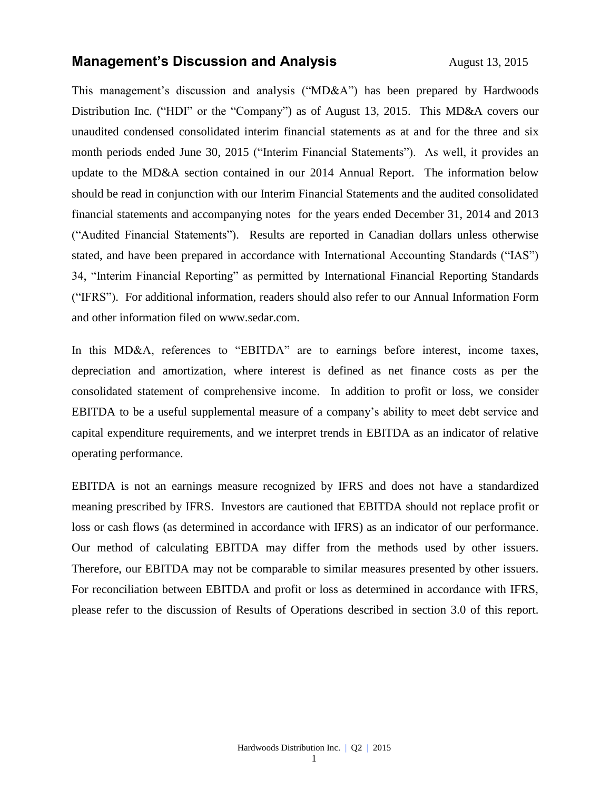## **Management's Discussion and Analysis** August 13, 2015

This management's discussion and analysis ("MD&A") has been prepared by Hardwoods Distribution Inc. ("HDI" or the "Company") as of August 13, 2015. This MD&A covers our unaudited condensed consolidated interim financial statements as at and for the three and six month periods ended June 30, 2015 ("Interim Financial Statements"). As well, it provides an update to the MD&A section contained in our 2014 Annual Report. The information below should be read in conjunction with our Interim Financial Statements and the audited consolidated financial statements and accompanying notes for the years ended December 31, 2014 and 2013 ("Audited Financial Statements"). Results are reported in Canadian dollars unless otherwise stated, and have been prepared in accordance with International Accounting Standards ("IAS") 34, "Interim Financial Reporting" as permitted by International Financial Reporting Standards ("IFRS"). For additional information, readers should also refer to our Annual Information Form and other information filed on [www.sedar.com.](http://www.sedar.com/)

In this MD&A, references to "EBITDA" are to earnings before interest, income taxes, depreciation and amortization, where interest is defined as net finance costs as per the consolidated statement of comprehensive income. In addition to profit or loss, we consider EBITDA to be a useful supplemental measure of a company's ability to meet debt service and capital expenditure requirements, and we interpret trends in EBITDA as an indicator of relative operating performance.

EBITDA is not an earnings measure recognized by IFRS and does not have a standardized meaning prescribed by IFRS. Investors are cautioned that EBITDA should not replace profit or loss or cash flows (as determined in accordance with IFRS) as an indicator of our performance. Our method of calculating EBITDA may differ from the methods used by other issuers. Therefore, our EBITDA may not be comparable to similar measures presented by other issuers. For reconciliation between EBITDA and profit or loss as determined in accordance with IFRS, please refer to the discussion of Results of Operations described in section 3.0 of this report.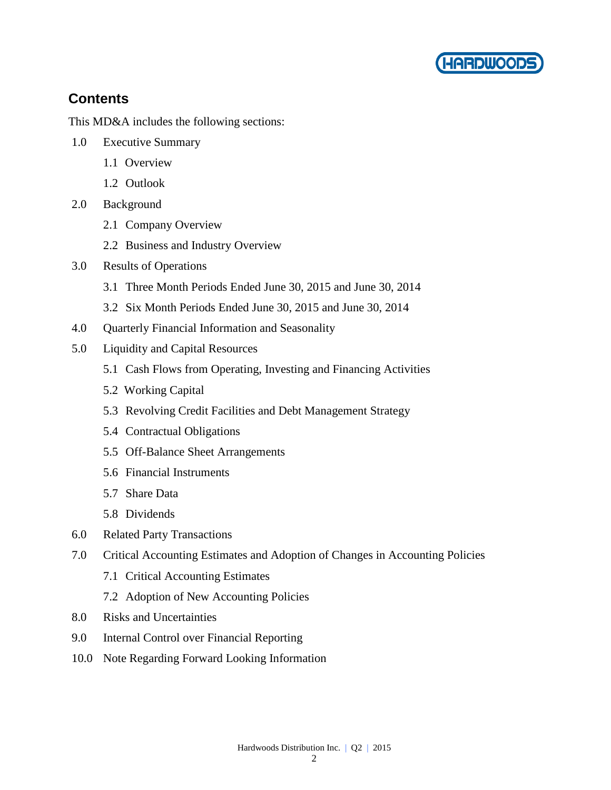

# **Contents**

This MD&A includes the following sections:

- 1.0 Executive Summary
	- 1.1 Overview
	- 1.2 Outlook
- 2.0 Background
	- 2.1 Company Overview
	- 2.2 Business and Industry Overview
- 3.0 Results of Operations
	- 3.1 Three Month Periods Ended June 30, 2015 and June 30, 2014
	- 3.2 Six Month Periods Ended June 30, 2015 and June 30, 2014
- 4.0 Quarterly Financial Information and Seasonality
- 5.0 Liquidity and Capital Resources
	- 5.1 Cash Flows from Operating, Investing and Financing Activities
	- 5.2 Working Capital
	- 5.3 Revolving Credit Facilities and Debt Management Strategy
	- 5.4 Contractual Obligations
	- 5.5 Off-Balance Sheet Arrangements
	- 5.6 Financial Instruments
	- 5.7 Share Data
	- 5.8 Dividends
- 6.0 Related Party Transactions
- 7.0 Critical Accounting Estimates and Adoption of Changes in Accounting Policies
	- 7.1 Critical Accounting Estimates
	- 7.2 Adoption of New Accounting Policies
- 8.0 Risks and Uncertainties
- 9.0 Internal Control over Financial Reporting
- 10.0 Note Regarding Forward Looking Information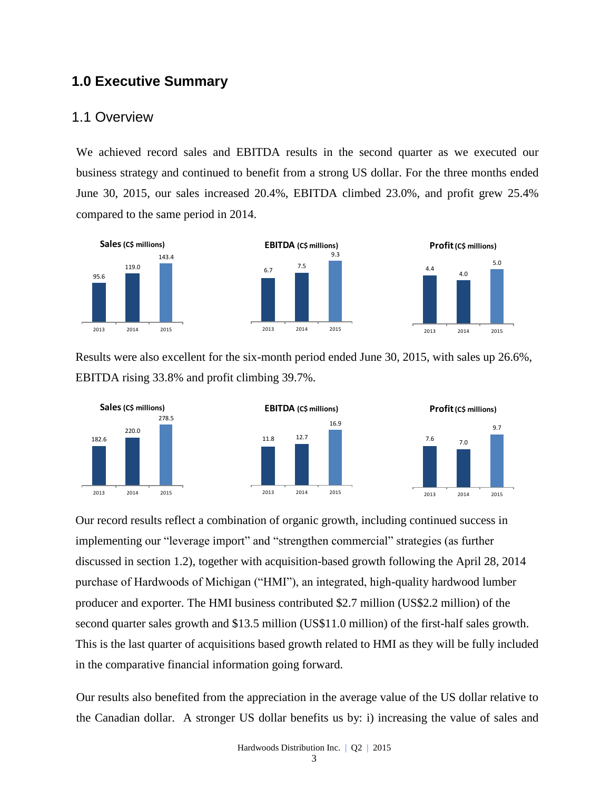# **1.0 Executive Summary**

#### 1.1 Overview

We achieved record sales and EBITDA results in the second quarter as we executed our business strategy and continued to benefit from a strong US dollar. For the three months ended June 30, 2015, our sales increased 20.4%, EBITDA climbed 23.0%, and profit grew 25.4% compared to the same period in 2014.



Results were also excellent for the six-month period ended June 30, 2015, with sales up 26.6%, EBITDA rising 33.8% and profit climbing 39.7%.







Our record results reflect a combination of organic growth, including continued success in implementing our "leverage import" and "strengthen commercial" strategies (as further discussed in section 1.2), together with acquisition-based growth following the April 28, 2014 purchase of Hardwoods of Michigan ("HMI"), an integrated, high-quality hardwood lumber producer and exporter. The HMI business contributed \$2.7 million (US\$2.2 million) of the second quarter sales growth and \$13.5 million (US\$11.0 million) of the first-half sales growth. This is the last quarter of acquisitions based growth related to HMI as they will be fully included in the comparative financial information going forward.

Our results also benefited from the appreciation in the average value of the US dollar relative to the Canadian dollar. A stronger US dollar benefits us by: i) increasing the value of sales and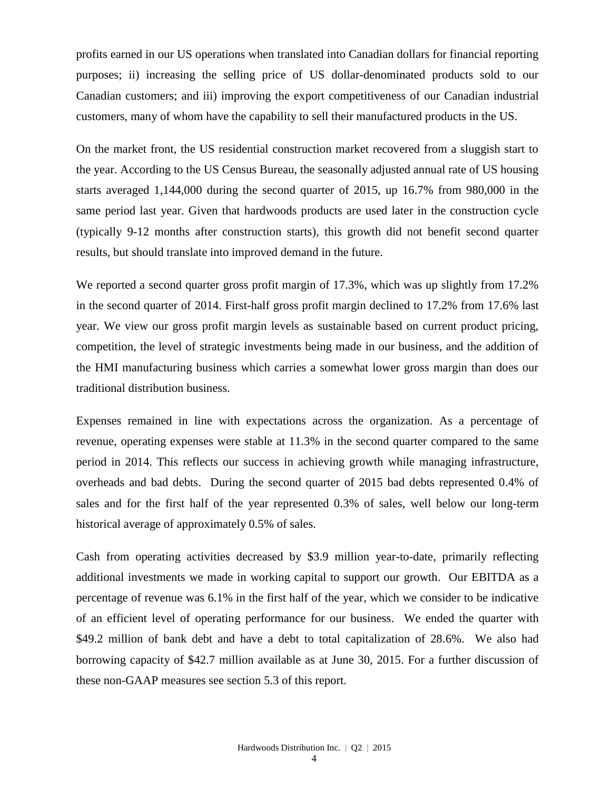profits earned in our US operations when translated into Canadian dollars for financial reporting purposes; ii) increasing the selling price of US dollar-denominated products sold to our Canadian customers; and iii) improving the export competitiveness of our Canadian industrial customers, many of whom have the capability to sell their manufactured products in the US.

On the market front, the US residential construction market recovered from a sluggish start to the year. According to the US Census Bureau, the seasonally adjusted annual rate of US housing starts averaged 1,144,000 during the second quarter of 2015, up 16.7% from 980,000 in the same period last year. Given that hardwoods products are used later in the construction cycle (typically 9-12 months after construction starts), this growth did not benefit second quarter results, but should translate into improved demand in the future.

We reported a second quarter gross profit margin of 17.3%, which was up slightly from 17.2% in the second quarter of 2014. First-half gross profit margin declined to 17.2% from 17.6% last year. We view our gross profit margin levels as sustainable based on current product pricing, competition, the level of strategic investments being made in our business, and the addition of the HMI manufacturing business which carries a somewhat lower gross margin than does our traditional distribution business.

Expenses remained in line with expectations across the organization. As a percentage of revenue, operating expenses were stable at 11.3% in the second quarter compared to the same period in 2014. This reflects our success in achieving growth while managing infrastructure, overheads and bad debts. During the second quarter of 2015 bad debts represented 0.4% of sales and for the first half of the year represented 0.3% of sales, well below our long-term historical average of approximately 0.5% of sales.

Cash from operating activities decreased by \$3.9 million year-to-date, primarily reflecting additional investments we made in working capital to support our growth. Our EBITDA as a percentage of revenue was 6.1% in the first half of the year, which we consider to be indicative of an efficient level of operating performance for our business. We ended the quarter with \$49.2 million of bank debt and have a debt to total capitalization of 28.6%. We also had borrowing capacity of \$42.7 million available as at June 30, 2015. For a further discussion of these non-GAAP measures see section 5.3 of this report.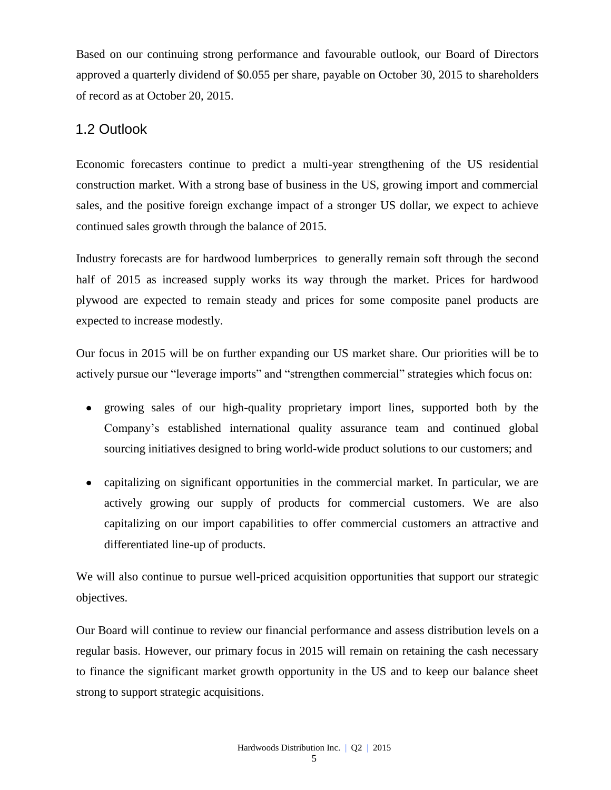Based on our continuing strong performance and favourable outlook, our Board of Directors approved a quarterly dividend of \$0.055 per share, payable on October 30, 2015 to shareholders of record as at October 20, 2015.

# 1.2 Outlook

Economic forecasters continue to predict a multi-year strengthening of the US residential construction market. With a strong base of business in the US, growing import and commercial sales, and the positive foreign exchange impact of a stronger US dollar, we expect to achieve continued sales growth through the balance of 2015.

Industry forecasts are for hardwood lumberprices to generally remain soft through the second half of 2015 as increased supply works its way through the market. Prices for hardwood plywood are expected to remain steady and prices for some composite panel products are expected to increase modestly.

Our focus in 2015 will be on further expanding our US market share. Our priorities will be to actively pursue our "leverage imports" and "strengthen commercial" strategies which focus on:

- growing sales of our high-quality proprietary import lines, supported both by the Company's established international quality assurance team and continued global sourcing initiatives designed to bring world-wide product solutions to our customers; and
- capitalizing on significant opportunities in the commercial market. In particular, we are actively growing our supply of products for commercial customers. We are also capitalizing on our import capabilities to offer commercial customers an attractive and differentiated line-up of products.

We will also continue to pursue well-priced acquisition opportunities that support our strategic objectives.

Our Board will continue to review our financial performance and assess distribution levels on a regular basis. However, our primary focus in 2015 will remain on retaining the cash necessary to finance the significant market growth opportunity in the US and to keep our balance sheet strong to support strategic acquisitions.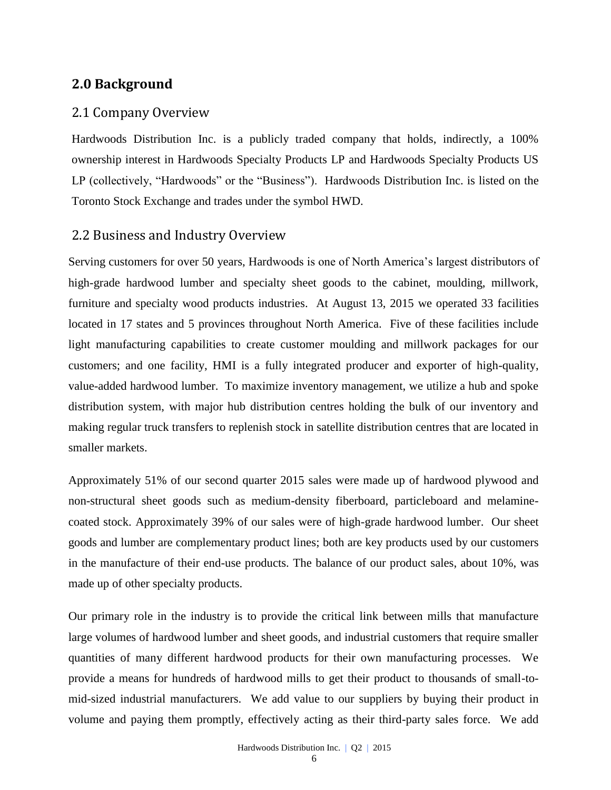## **2.0 Background**

#### 2.1 Company Overview

Hardwoods Distribution Inc. is a publicly traded company that holds, indirectly, a 100% ownership interest in Hardwoods Specialty Products LP and Hardwoods Specialty Products US LP (collectively, "Hardwoods" or the "Business"). Hardwoods Distribution Inc. is listed on the [Toronto Stock Exchange and trades under the symbol](http://tmx.quotemedia.com/quote.php?qm_symbol=TPK&locale=EN) HWD.

#### 2.2 Business and Industry Overview

Serving customers for over 50 years, Hardwoods is one of North America's largest distributors of high-grade hardwood lumber and specialty sheet goods to the cabinet, moulding, millwork, furniture and specialty wood products industries. At August 13, 2015 we operated 33 facilities located in 17 states and 5 provinces throughout North America. Five of these facilities include light manufacturing capabilities to create customer moulding and millwork packages for our customers; and one facility, HMI is a fully integrated producer and exporter of high-quality, value-added hardwood lumber. To maximize inventory management, we utilize a hub and spoke distribution system, with major hub distribution centres holding the bulk of our inventory and making regular truck transfers to replenish stock in satellite distribution centres that are located in smaller markets.

Approximately 51% of our second quarter 2015 sales were made up of hardwood plywood and non-structural sheet goods such as medium-density fiberboard, particleboard and melaminecoated stock. Approximately 39% of our sales were of high-grade hardwood lumber. Our sheet goods and lumber are complementary product lines; both are key products used by our customers in the manufacture of their end-use products. The balance of our product sales, about 10%, was made up of other specialty products.

Our primary role in the industry is to provide the critical link between mills that manufacture large volumes of hardwood lumber and sheet goods, and industrial customers that require smaller quantities of many different hardwood products for their own manufacturing processes. We provide a means for hundreds of hardwood mills to get their product to thousands of small-tomid-sized industrial manufacturers. We add value to our suppliers by buying their product in volume and paying them promptly, effectively acting as their third-party sales force. We add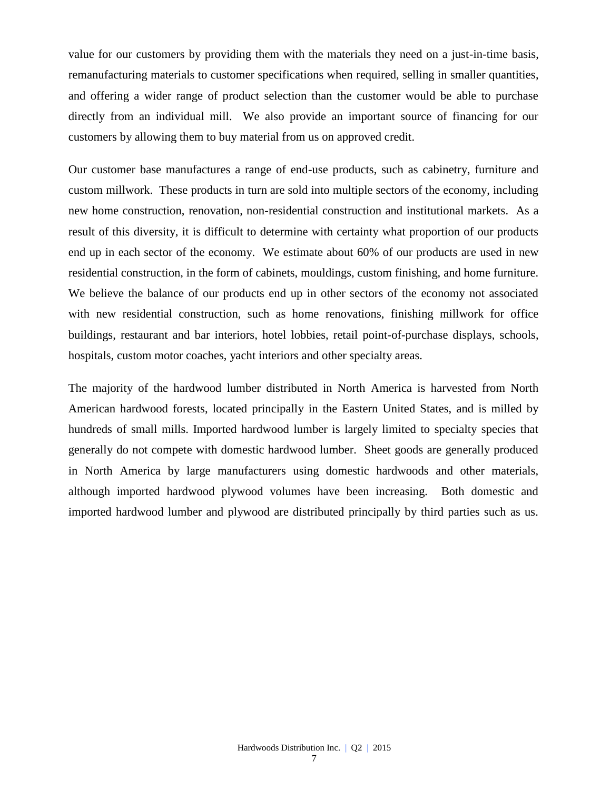value for our customers by providing them with the materials they need on a just-in-time basis, remanufacturing materials to customer specifications when required, selling in smaller quantities, and offering a wider range of product selection than the customer would be able to purchase directly from an individual mill. We also provide an important source of financing for our customers by allowing them to buy material from us on approved credit.

Our customer base manufactures a range of end-use products, such as cabinetry, furniture and custom millwork. These products in turn are sold into multiple sectors of the economy, including new home construction, renovation, non-residential construction and institutional markets. As a result of this diversity, it is difficult to determine with certainty what proportion of our products end up in each sector of the economy. We estimate about 60% of our products are used in new residential construction, in the form of cabinets, mouldings, custom finishing, and home furniture. We believe the balance of our products end up in other sectors of the economy not associated with new residential construction, such as home renovations, finishing millwork for office buildings, restaurant and bar interiors, hotel lobbies, retail point-of-purchase displays, schools, hospitals, custom motor coaches, yacht interiors and other specialty areas.

The majority of the hardwood lumber distributed in North America is harvested from North American hardwood forests, located principally in the Eastern United States, and is milled by hundreds of small mills. Imported hardwood lumber is largely limited to specialty species that generally do not compete with domestic hardwood lumber. Sheet goods are generally produced in North America by large manufacturers using domestic hardwoods and other materials, although imported hardwood plywood volumes have been increasing. Both domestic and imported hardwood lumber and plywood are distributed principally by third parties such as us.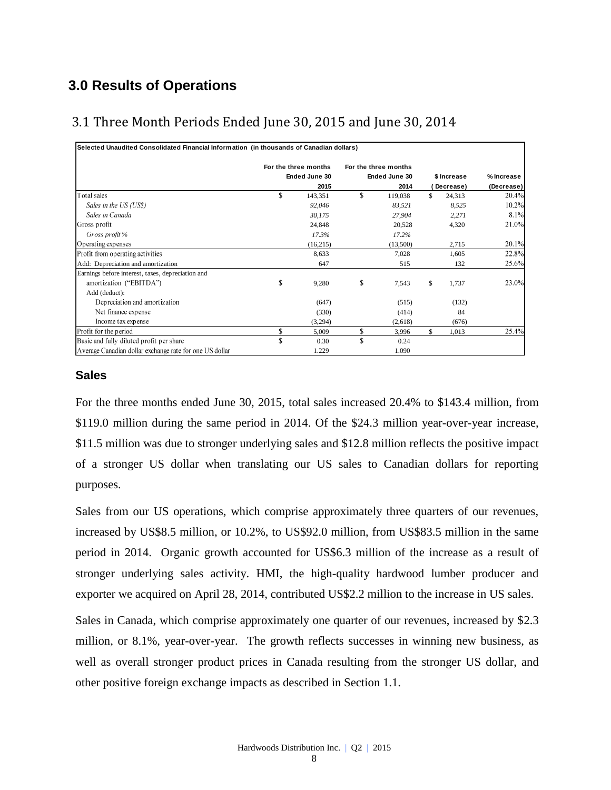# **3.0 Results of Operations**

# 3.1 Three Month Periods Ended June 30, 2015 and June 30, 2014

| Selected Unaudited Consolidated Financial Information (in thousands of Canadian dollars) |                                       |                                       |              |            |
|------------------------------------------------------------------------------------------|---------------------------------------|---------------------------------------|--------------|------------|
|                                                                                          | For the three months<br>Ended June 30 | For the three months<br>Ended June 30 | \$ Increase  | % Increase |
|                                                                                          | 2015                                  | 2014                                  | Decrease)    | (Decrease) |
| Total sales                                                                              | \$<br>143,351                         | \$<br>119,038                         | \$<br>24,313 | 20.4%      |
| Sales in the US (US\$)                                                                   | 92,046                                | 83,521                                | 8,525        | 10.2%      |
| Sales in Canada                                                                          | 30,175                                | 27,904                                | 2,271        | 8.1%       |
| Gross profit                                                                             | 24,848                                | 20,528                                | 4,320        | 21.0%      |
| Gross profit %                                                                           | 17.3%                                 | 17.2%                                 |              |            |
| Operating expenses                                                                       | (16,215)                              | (13,500)                              | 2,715        | 20.1%      |
| Profit from operating activities                                                         | 8,633                                 | 7,028                                 | 1,605        | 22.8%      |
| Add: Depreciation and amortization                                                       | 647                                   | 515                                   | 132          | 25.6%      |
| Earnings before interest, taxes, depreciation and                                        |                                       |                                       |              |            |
| amortization ("EBITDA")                                                                  | \$<br>9,280                           | \$<br>7,543                           | \$<br>1,737  | 23.0%      |
| Add (deduct):                                                                            |                                       |                                       |              |            |
| Depreciation and amortization                                                            | (647)                                 | (515)                                 | (132)        |            |
| Net finance expense                                                                      | (330)                                 | (414)                                 | 84           |            |
| Income tax expense                                                                       | (3,294)                               | (2,618)                               | (676)        |            |
| Profit for the period                                                                    | \$<br>5,009                           | \$<br>3,996                           | \$<br>1,013  | 25.4%      |
| Basic and fully diluted profit per share                                                 | 0.30                                  | \$<br>0.24                            |              |            |
| Average Canadian dollar exchange rate for one US dollar                                  | 1.229                                 | 1.090                                 |              |            |

#### **Sales**

For the three months ended June 30, 2015, total sales increased 20.4% to \$143.4 million, from \$119.0 million during the same period in 2014. Of the \$24.3 million year-over-year increase, \$11.5 million was due to stronger underlying sales and \$12.8 million reflects the positive impact of a stronger US dollar when translating our US sales to Canadian dollars for reporting purposes.

Sales from our US operations, which comprise approximately three quarters of our revenues, increased by US\$8.5 million, or 10.2%, to US\$92.0 million, from US\$83.5 million in the same period in 2014. Organic growth accounted for US\$6.3 million of the increase as a result of stronger underlying sales activity. HMI, the high-quality hardwood lumber producer and exporter we acquired on April 28, 2014, contributed US\$2.2 million to the increase in US sales.

Sales in Canada, which comprise approximately one quarter of our revenues, increased by \$2.3 million, or 8.1%, year-over-year. The growth reflects successes in winning new business, as well as overall stronger product prices in Canada resulting from the stronger US dollar, and other positive foreign exchange impacts as described in Section 1.1.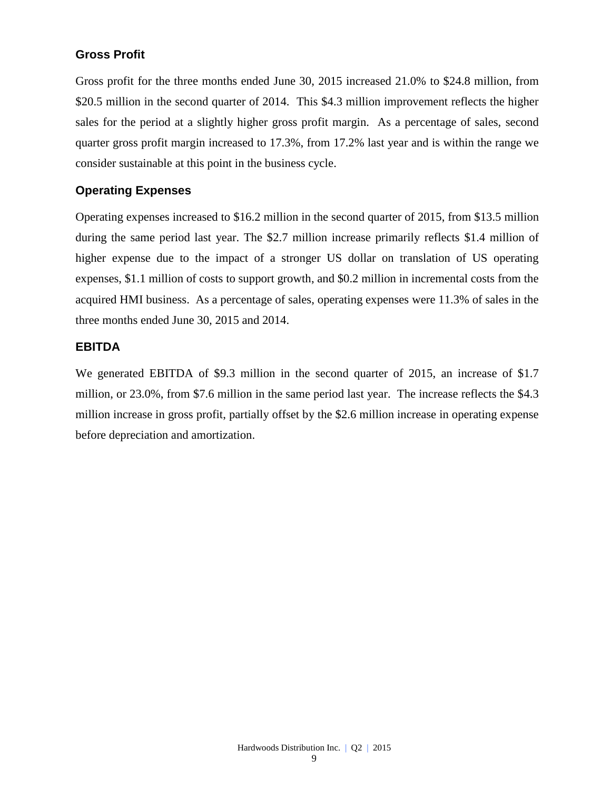#### **Gross Profit**

Gross profit for the three months ended June 30, 2015 increased 21.0% to \$24.8 million, from \$20.5 million in the second quarter of 2014. This \$4.3 million improvement reflects the higher sales for the period at a slightly higher gross profit margin. As a percentage of sales, second quarter gross profit margin increased to 17.3%, from 17.2% last year and is within the range we consider sustainable at this point in the business cycle.

#### **Operating Expenses**

Operating expenses increased to \$16.2 million in the second quarter of 2015, from \$13.5 million during the same period last year. The \$2.7 million increase primarily reflects \$1.4 million of higher expense due to the impact of a stronger US dollar on translation of US operating expenses, \$1.1 million of costs to support growth, and \$0.2 million in incremental costs from the acquired HMI business. As a percentage of sales, operating expenses were 11.3% of sales in the three months ended June 30, 2015 and 2014.

#### **EBITDA**

We generated EBITDA of \$9.3 million in the second quarter of 2015, an increase of \$1.7 million, or 23.0%, from \$7.6 million in the same period last year. The increase reflects the \$4.3 million increase in gross profit, partially offset by the \$2.6 million increase in operating expense before depreciation and amortization.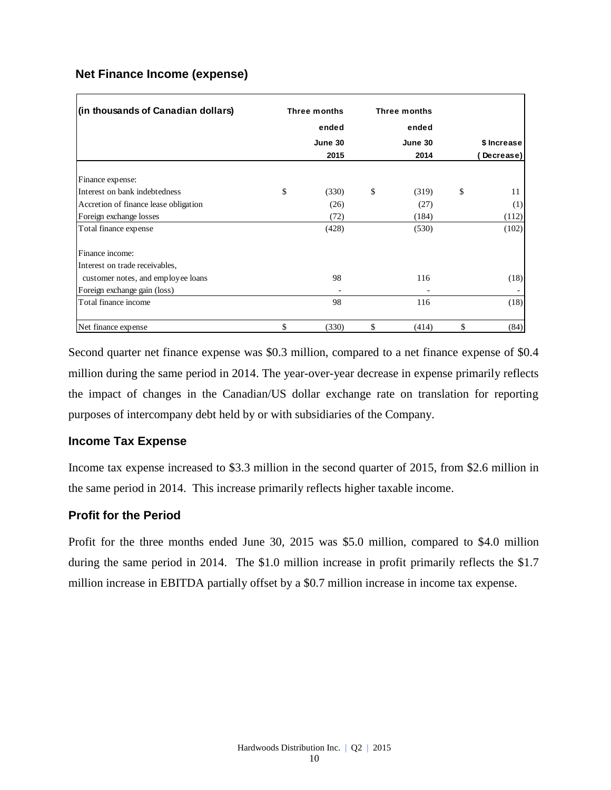#### **Net Finance Income (expense)**

| (in thousands of Canadian dollars)    | Three months | Three months |             |
|---------------------------------------|--------------|--------------|-------------|
|                                       | ended        | ended        |             |
|                                       | June 30      | June 30      | \$ Increase |
|                                       | 2015         | 2014         | Decrease)   |
| Finance expense:                      |              |              |             |
| Interest on bank indebtedness         | \$<br>(330)  | \$<br>(319)  | \$<br>11    |
| Accretion of finance lease obligation | (26)         | (27)         | (1)         |
| Foreign exchange losses               | (72)         | (184)        | (112)       |
| Total finance expense                 | (428)        | (530)        | (102)       |
| Finance income:                       |              |              |             |
| Interest on trade receivables,        |              |              |             |
| customer notes, and employee loans    | 98           | 116          | (18)        |
| Foreign exchange gain (loss)          |              |              |             |
| Total finance income                  | 98           | 116          | (18)        |
| Net finance expense                   | \$<br>(330)  | \$<br>(414)  | \$<br>(84)  |

Second quarter net finance expense was \$0.3 million, compared to a net finance expense of \$0.4 million during the same period in 2014. The year-over-year decrease in expense primarily reflects the impact of changes in the Canadian/US dollar exchange rate on translation for reporting purposes of intercompany debt held by or with subsidiaries of the Company.

#### **Income Tax Expense**

Income tax expense increased to \$3.3 million in the second quarter of 2015, from \$2.6 million in the same period in 2014. This increase primarily reflects higher taxable income.

#### **Profit for the Period**

Profit for the three months ended June 30, 2015 was \$5.0 million, compared to \$4.0 million during the same period in 2014. The \$1.0 million increase in profit primarily reflects the \$1.7 million increase in EBITDA partially offset by a \$0.7 million increase in income tax expense.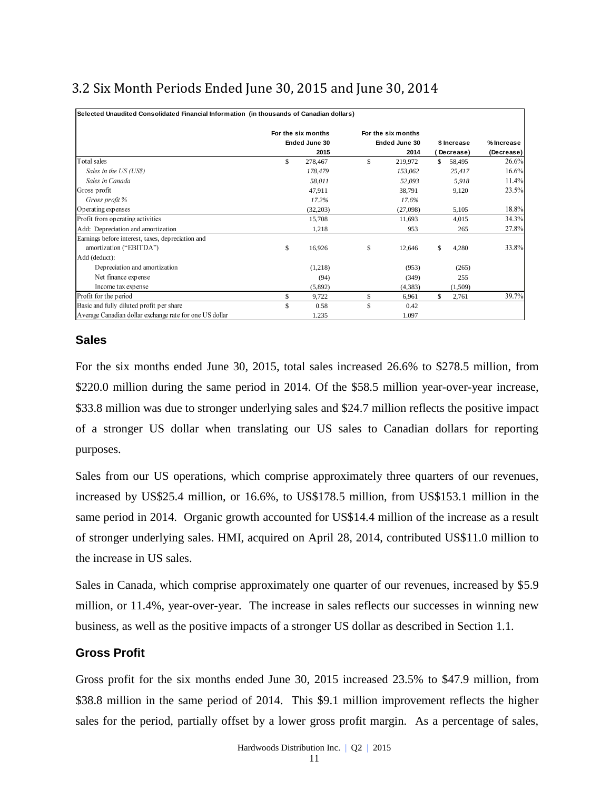# 3.2 Six Month Periods Ended June 30, 2015 and June 30, 2014

| Selected Unaudited Consolidated Financial Information (in thousands of Canadian dollars) |                    |     |                    |              |            |
|------------------------------------------------------------------------------------------|--------------------|-----|--------------------|--------------|------------|
|                                                                                          | For the six months |     | For the six months |              |            |
|                                                                                          | Ended June 30      |     | Ended June 30      | \$ Increase  | % Increase |
|                                                                                          | 2015               |     | 2014               | Decrease)    | (Decrease) |
| Total sales                                                                              | \$<br>278,467      | S   | 219,972            | \$<br>58,495 | 26.6%      |
| Sales in the US (US\$)                                                                   | 178,479            |     | 153,062            | 25,417       | 16.6%      |
| Sales in Canada                                                                          | 58,011             |     | 52,093             | 5,918        | 11.4%      |
| Gross profit                                                                             | 47,911             |     | 38,791             | 9,120        | 23.5%      |
| Gross profit %                                                                           | 17.2%              |     | 17.6%              |              |            |
| Operating expenses                                                                       | (32, 203)          |     | (27,098)           | 5,105        | 18.8%      |
| Profit from operating activities                                                         | 15,708             |     | 11,693             | 4,015        | 34.3%      |
| Add: Depreciation and amortization                                                       | 1,218              |     | 953                | 265          | 27.8%      |
| Earnings before interest, taxes, depreciation and                                        |                    |     |                    |              |            |
| amortization ("EBITDA")                                                                  | \$<br>16,926       | \$  | 12,646             | \$<br>4,280  | 33.8%      |
| Add (deduct):                                                                            |                    |     |                    |              |            |
| Depreciation and amortization                                                            | (1,218)            |     | (953)              | (265)        |            |
| Net finance expense                                                                      | (94)               |     | (349)              | 255          |            |
| Income tax expense                                                                       | (5,892)            |     | (4,383)            | (1,509)      |            |
| Profit for the period                                                                    | \$<br>9,722        | \$  | 6,961              | \$<br>2,761  | 39.7%      |
| Basic and fully diluted profit per share                                                 | \$<br>0.58         | \$. | 0.42               |              |            |
| Average Canadian dollar exchange rate for one US dollar                                  | 1.235              |     | 1.097              |              |            |

#### **Sales**

For the six months ended June 30, 2015, total sales increased 26.6% to \$278.5 million, from \$220.0 million during the same period in 2014. Of the \$58.5 million year-over-year increase, \$33.8 million was due to stronger underlying sales and \$24.7 million reflects the positive impact of a stronger US dollar when translating our US sales to Canadian dollars for reporting purposes.

Sales from our US operations, which comprise approximately three quarters of our revenues, increased by US\$25.4 million, or 16.6%, to US\$178.5 million, from US\$153.1 million in the same period in 2014. Organic growth accounted for US\$14.4 million of the increase as a result of stronger underlying sales. HMI, acquired on April 28, 2014, contributed US\$11.0 million to the increase in US sales.

Sales in Canada, which comprise approximately one quarter of our revenues, increased by \$5.9 million, or 11.4%, year-over-year. The increase in sales reflects our successes in winning new business, as well as the positive impacts of a stronger US dollar as described in Section 1.1.

#### **Gross Profit**

Gross profit for the six months ended June 30, 2015 increased 23.5% to \$47.9 million, from \$38.8 million in the same period of 2014. This \$9.1 million improvement reflects the higher sales for the period, partially offset by a lower gross profit margin. As a percentage of sales,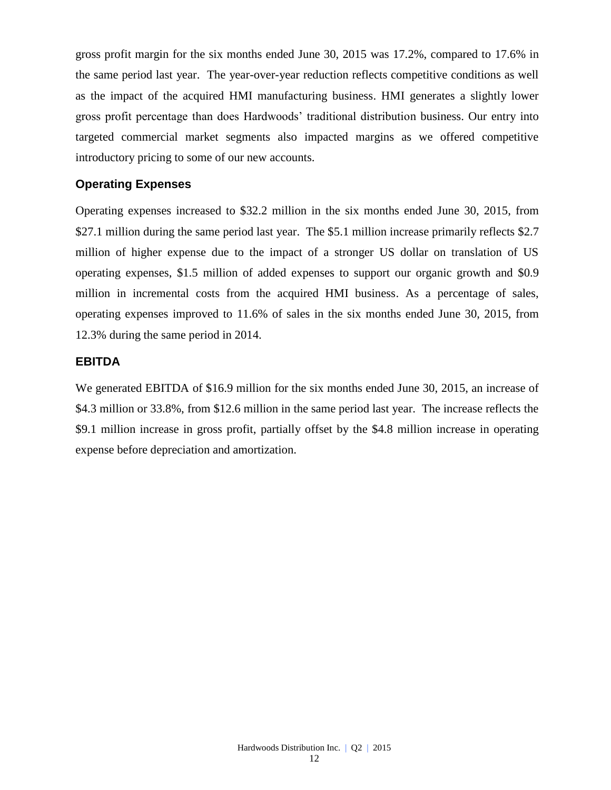gross profit margin for the six months ended June 30, 2015 was 17.2%, compared to 17.6% in the same period last year. The year-over-year reduction reflects competitive conditions as well as the impact of the acquired HMI manufacturing business. HMI generates a slightly lower gross profit percentage than does Hardwoods' traditional distribution business. Our entry into targeted commercial market segments also impacted margins as we offered competitive introductory pricing to some of our new accounts.

#### **Operating Expenses**

Operating expenses increased to \$32.2 million in the six months ended June 30, 2015, from \$27.1 million during the same period last year. The \$5.1 million increase primarily reflects \$2.7 million of higher expense due to the impact of a stronger US dollar on translation of US operating expenses, \$1.5 million of added expenses to support our organic growth and \$0.9 million in incremental costs from the acquired HMI business. As a percentage of sales, operating expenses improved to 11.6% of sales in the six months ended June 30, 2015, from 12.3% during the same period in 2014.

#### **EBITDA**

We generated EBITDA of \$16.9 million for the six months ended June 30, 2015, an increase of \$4.3 million or 33.8%, from \$12.6 million in the same period last year. The increase reflects the \$9.1 million increase in gross profit, partially offset by the \$4.8 million increase in operating expense before depreciation and amortization.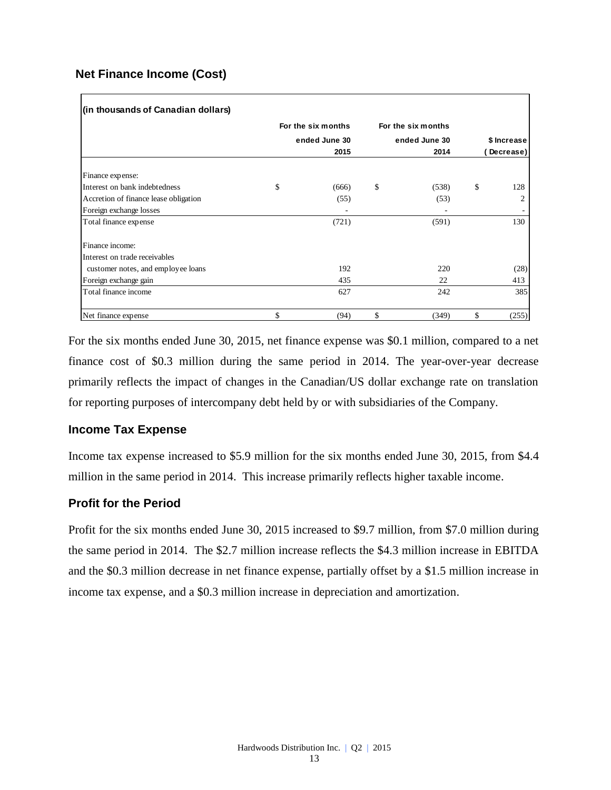#### **Net Finance Income (Cost)**

| (in thousands of Canadian dollars)    |                    |                    |                |
|---------------------------------------|--------------------|--------------------|----------------|
|                                       | For the six months | For the six months |                |
|                                       | ended June 30      | ended June 30      | \$ Increase    |
|                                       | 2015               | 2014               | Decrease)      |
| Finance expense:                      |                    |                    |                |
| Interest on bank indebtedness         | \$<br>(666)        | \$<br>(538)        | \$<br>128      |
| Accretion of finance lease obligation | (55)               | (53)               | $\overline{c}$ |
| Foreign exchange losses               |                    |                    |                |
| Total finance expense                 | (721)              | (591)              | 130            |
| Finance income:                       |                    |                    |                |
| Interest on trade receivables         |                    |                    |                |
| customer notes, and employee loans    | 192                | 220                | (28)           |
| Foreign exchange gain                 | 435                | 22                 | 413            |
| Total finance income                  | 627                | 242                | 385            |
| Net finance expense                   | \$<br>(94)         | \$<br>(349)        | \$<br>(255)    |

For the six months ended June 30, 2015, net finance expense was \$0.1 million, compared to a net finance cost of \$0.3 million during the same period in 2014. The year-over-year decrease primarily reflects the impact of changes in the Canadian/US dollar exchange rate on translation for reporting purposes of intercompany debt held by or with subsidiaries of the Company.

#### **Income Tax Expense**

Income tax expense increased to \$5.9 million for the six months ended June 30, 2015, from \$4.4 million in the same period in 2014. This increase primarily reflects higher taxable income.

#### **Profit for the Period**

Profit for the six months ended June 30, 2015 increased to \$9.7 million, from \$7.0 million during the same period in 2014. The \$2.7 million increase reflects the \$4.3 million increase in EBITDA and the \$0.3 million decrease in net finance expense, partially offset by a \$1.5 million increase in income tax expense, and a \$0.3 million increase in depreciation and amortization.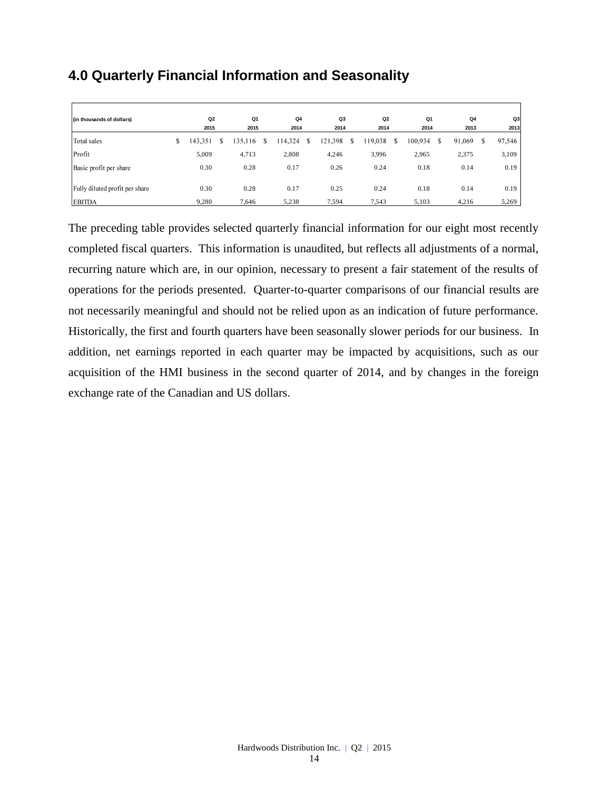# **4.0 Quarterly Financial Information and Seasonality**

| (in thousands of dollars)      | Q <sub>2</sub><br>2015 | Q1<br>2015        |   | Q <sub>4</sub><br>2014 |   | Q3<br>2014  |   | Q2<br>2014 | Q <sub>1</sub><br>2014 |   | Q <sub>4</sub><br>2013 |   | Q3<br>2013 |
|--------------------------------|------------------------|-------------------|---|------------------------|---|-------------|---|------------|------------------------|---|------------------------|---|------------|
| Total sales                    | \$<br>143.351          | \$<br>135.1<br>16 | S | 114.324                | S | .398<br>121 | S | 119.038    | 100.934                | S | 91,069                 | S | 97,546     |
| Profit                         | 5,009                  | 4,713             |   | 2,808                  |   | 4,246       |   | 3,996      | 2,965                  |   | 2,375                  |   | 3,109      |
| Basic profit per share         | 0.30                   | 0.28              |   | 0.17                   |   | 0.26        |   | 0.24       | 0.18                   |   | 0.14                   |   | 0.19       |
| Fully diluted profit per share | 0.30                   | 0.28              |   | 0.17                   |   | 0.25        |   | 0.24       | 0.18                   |   | 0.14                   |   | 0.19       |
| <b>EBITDA</b>                  | 9,280                  | 7,646             |   | 5,238                  |   | 7.594       |   | 7,543      | 5,103                  |   | 4,216                  |   | 5,269      |

The preceding table provides selected quarterly financial information for our eight most recently completed fiscal quarters. This information is unaudited, but reflects all adjustments of a normal, recurring nature which are, in our opinion, necessary to present a fair statement of the results of operations for the periods presented. Quarter-to-quarter comparisons of our financial results are not necessarily meaningful and should not be relied upon as an indication of future performance. Historically, the first and fourth quarters have been seasonally slower periods for our business. In addition, net earnings reported in each quarter may be impacted by acquisitions, such as our acquisition of the HMI business in the second quarter of 2014, and by changes in the foreign exchange rate of the Canadian and US dollars.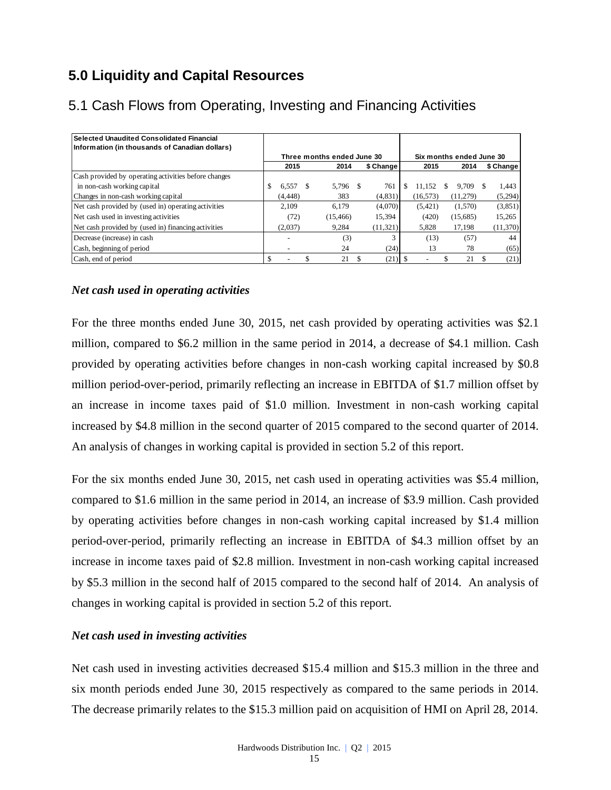# **5.0 Liquidity and Capital Resources**

| Selected Unaudited Consolidated Financial<br>Information (in thousands of Canadian dollars) |                          |    |                            |           |     |           |    |                          |    |           |
|---------------------------------------------------------------------------------------------|--------------------------|----|----------------------------|-----------|-----|-----------|----|--------------------------|----|-----------|
|                                                                                             |                          |    | Three months ended June 30 |           |     |           |    | Six months ended June 30 |    |           |
|                                                                                             | 2015                     |    | 2014                       | \$ Change |     | 2015      |    | 2014                     |    | \$ Change |
| Cash provided by operating activities before changes                                        |                          |    |                            |           |     |           |    |                          |    |           |
| in non-cash working capital                                                                 | \$<br>6.557              | -S | 5.796 \$                   | 761       | \$. | 11.152    | S. | 9.709                    | -S | 1.443     |
| Changes in non-cash working capital                                                         | (4, 448)                 |    | 383                        | (4,831)   |     | (16, 573) |    | (11,279)                 |    | (5,294)   |
| Net cash provided by (used in) operating activities                                         | 2.109                    |    | 6.179                      | (4,070)   |     | (5,421)   |    | (1,570)                  |    | (3,851)   |
| Net cash used in investing activities                                                       | (72)                     |    | (15, 466)                  | 15,394    |     | (420)     |    | (15,685)                 |    | 15.265    |
| Net cash provided by (used in) financing activities                                         | (2,037)                  |    | 9,284                      | (11,321)  |     | 5,828     |    | 17.198                   |    | (11,370)  |
| Decrease (increase) in cash                                                                 |                          |    | (3)                        |           |     | (13)      |    | (57)                     |    | 44        |
| Cash, beginning of period                                                                   | $\overline{\phantom{a}}$ |    | 24                         | (24)      |     | 13        |    | 78                       |    | (65)      |
| Cash, end of period                                                                         |                          |    | 21                         | (21)      |     |           |    | 21                       |    | (21)      |

# 5.1 Cash Flows from Operating, Investing and Financing Activities

#### *Net cash used in operating activities*

For the three months ended June 30, 2015, net cash provided by operating activities was \$2.1 million, compared to \$6.2 million in the same period in 2014, a decrease of \$4.1 million. Cash provided by operating activities before changes in non-cash working capital increased by \$0.8 million period-over-period, primarily reflecting an increase in EBITDA of \$1.7 million offset by an increase in income taxes paid of \$1.0 million. Investment in non-cash working capital increased by \$4.8 million in the second quarter of 2015 compared to the second quarter of 2014. An analysis of changes in working capital is provided in section 5.2 of this report.

For the six months ended June 30, 2015, net cash used in operating activities was \$5.4 million, compared to \$1.6 million in the same period in 2014, an increase of \$3.9 million. Cash provided by operating activities before changes in non-cash working capital increased by \$1.4 million period-over-period, primarily reflecting an increase in EBITDA of \$4.3 million offset by an increase in income taxes paid of \$2.8 million. Investment in non-cash working capital increased by \$5.3 million in the second half of 2015 compared to the second half of 2014. An analysis of changes in working capital is provided in section 5.2 of this report.

#### *Net cash used in investing activities*

Net cash used in investing activities decreased \$15.4 million and \$15.3 million in the three and six month periods ended June 30, 2015 respectively as compared to the same periods in 2014. The decrease primarily relates to the \$15.3 million paid on acquisition of HMI on April 28, 2014.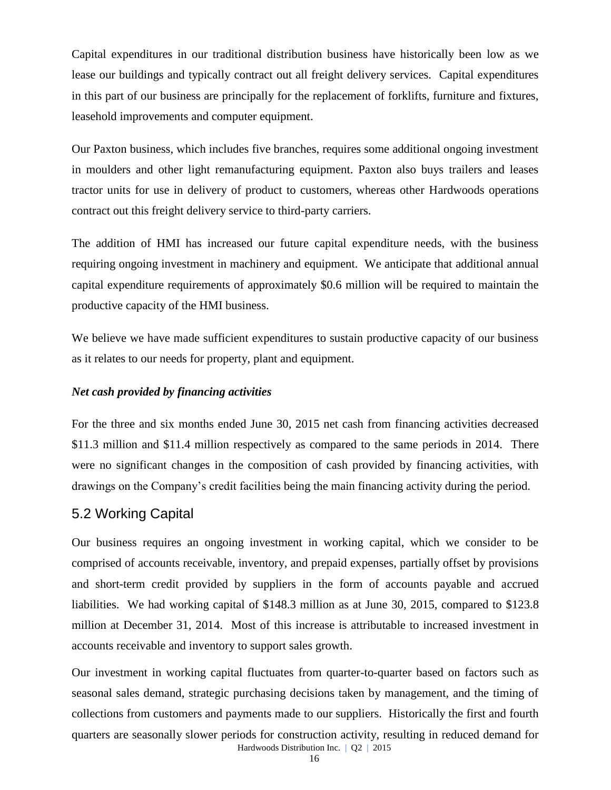Capital expenditures in our traditional distribution business have historically been low as we lease our buildings and typically contract out all freight delivery services. Capital expenditures in this part of our business are principally for the replacement of forklifts, furniture and fixtures, leasehold improvements and computer equipment.

Our Paxton business, which includes five branches, requires some additional ongoing investment in moulders and other light remanufacturing equipment. Paxton also buys trailers and leases tractor units for use in delivery of product to customers, whereas other Hardwoods operations contract out this freight delivery service to third-party carriers.

The addition of HMI has increased our future capital expenditure needs, with the business requiring ongoing investment in machinery and equipment. We anticipate that additional annual capital expenditure requirements of approximately \$0.6 million will be required to maintain the productive capacity of the HMI business.

We believe we have made sufficient expenditures to sustain productive capacity of our business as it relates to our needs for property, plant and equipment.

#### *Net cash provided by financing activities*

For the three and six months ended June 30, 2015 net cash from financing activities decreased \$11.3 million and \$11.4 million respectively as compared to the same periods in 2014. There were no significant changes in the composition of cash provided by financing activities, with drawings on the Company's credit facilities being the main financing activity during the period.

# 5.2 Working Capital

Our business requires an ongoing investment in working capital, which we consider to be comprised of accounts receivable, inventory, and prepaid expenses, partially offset by provisions and short-term credit provided by suppliers in the form of accounts payable and accrued liabilities. We had working capital of \$148.3 million as at June 30, 2015, compared to \$123.8 million at December 31, 2014. Most of this increase is attributable to increased investment in accounts receivable and inventory to support sales growth.

Our investment in working capital fluctuates from quarter-to-quarter based on factors such as seasonal sales demand, strategic purchasing decisions taken by management, and the timing of collections from customers and payments made to our suppliers. Historically the first and fourth quarters are seasonally slower periods for construction activity, resulting in reduced demand for

Hardwoods Distribution Inc. | Q2 | 2015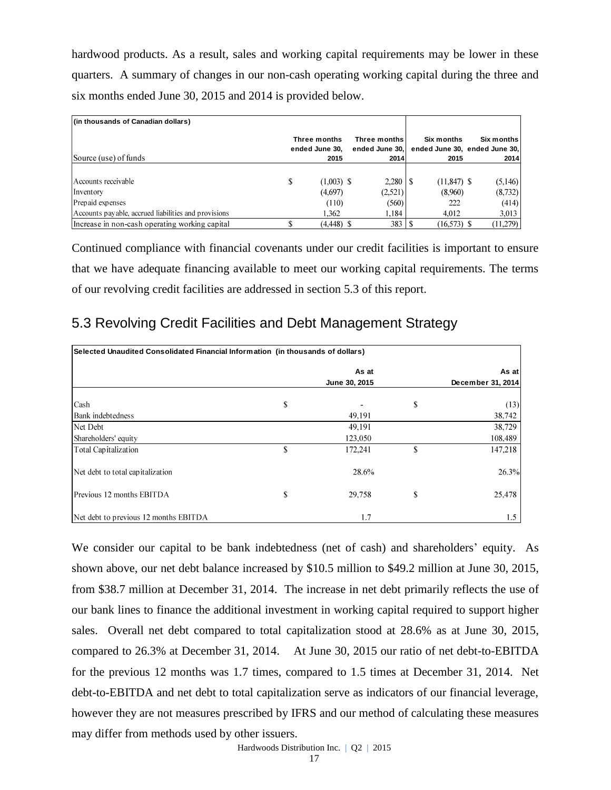hardwood products. As a result, sales and working capital requirements may be lower in these quarters. A summary of changes in our non-cash operating working capital during the three and six months ended June 30, 2015 and 2014 is provided below.

| (in thousands of Canadian dollars)                   |    |                                |                                |               |                                             |
|------------------------------------------------------|----|--------------------------------|--------------------------------|---------------|---------------------------------------------|
|                                                      |    | Three months<br>ended June 30. | Three months<br>ended June 30. | Six months    | Six months<br>ended June 30, ended June 30, |
| Source (use) of funds                                |    | 2015                           | 2014                           | 2015          | 2014                                        |
|                                                      |    |                                |                                |               |                                             |
| Accounts receivable                                  | \$ | $(1,003)$ \$                   | $2.280$   \$                   | $(11,847)$ \$ | (5,146)                                     |
| Inventory                                            |    | (4,697)                        | (2,521)                        | (8,960)       | (8, 732)                                    |
| Prepaid expenses                                     |    | (110)                          | (560)                          | 222           | (414)                                       |
| Accounts payable, accrued liabilities and provisions |    | 1.362                          | 1.184                          | 4.012         | 3,013                                       |
| Increase in non-cash operating working capital       | S  | $(4,448)$ \$                   | 383                            | $(16,573)$ \$ | (11,279)                                    |

Continued compliance with financial covenants under our credit facilities is important to ensure that we have adequate financing available to meet our working capital requirements. The terms of our revolving credit facilities are addressed in section 5.3 of this report.

# 5.3 Revolving Credit Facilities and Debt Management Strategy

| Selected Unaudited Consolidated Financial Information (in thousands of dollars) |    |               |    |                   |  |  |  |  |
|---------------------------------------------------------------------------------|----|---------------|----|-------------------|--|--|--|--|
|                                                                                 |    | As at         |    | As at             |  |  |  |  |
|                                                                                 |    | June 30, 2015 |    | December 31, 2014 |  |  |  |  |
| Cash                                                                            | \$ |               | \$ | (13)              |  |  |  |  |
| Bank indebtedness                                                               |    | 49.191        |    | 38,742            |  |  |  |  |
| Net Debt                                                                        |    | 49,191        |    | 38,729            |  |  |  |  |
| Shareholders' equity                                                            |    | 123,050       |    | 108,489           |  |  |  |  |
| Total Capitalization                                                            | \$ | 172,241       | \$ | 147,218           |  |  |  |  |
| Net debt to total capitalization                                                |    | 28.6%         |    | 26.3%             |  |  |  |  |
| Previous 12 months EBITDA                                                       | \$ | 29,758        | \$ | 25,478            |  |  |  |  |
| Net debt to previous 12 months EBITDA                                           |    | 1.7           |    | 1.5               |  |  |  |  |

We consider our capital to be bank indebtedness (net of cash) and shareholders' equity. As shown above, our net debt balance increased by \$10.5 million to \$49.2 million at June 30, 2015, from \$38.7 million at December 31, 2014. The increase in net debt primarily reflects the use of our bank lines to finance the additional investment in working capital required to support higher sales. Overall net debt compared to total capitalization stood at 28.6% as at June 30, 2015, compared to 26.3% at December 31, 2014. At June 30, 2015 our ratio of net debt-to-EBITDA for the previous 12 months was 1.7 times, compared to 1.5 times at December 31, 2014. Net debt-to-EBITDA and net debt to total capitalization serve as indicators of our financial leverage, however they are not measures prescribed by IFRS and our method of calculating these measures may differ from methods used by other issuers.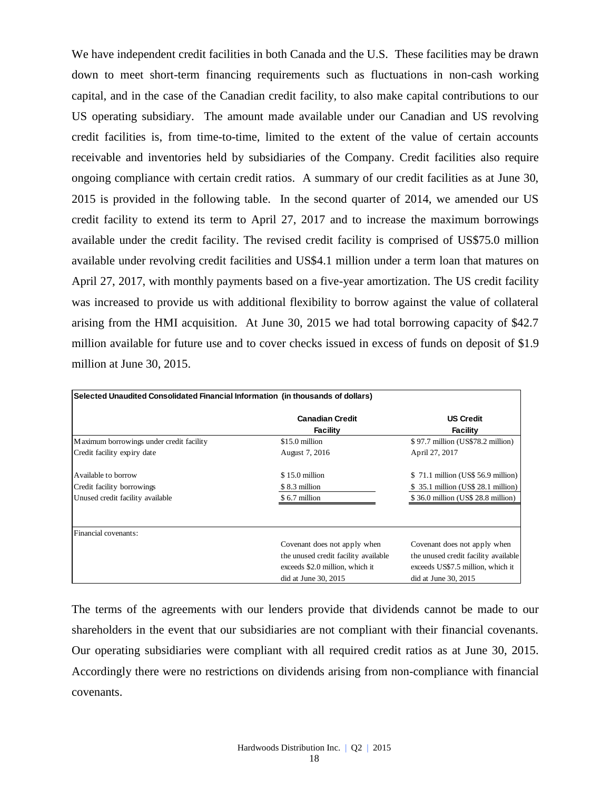We have independent credit facilities in both Canada and the U.S. These facilities may be drawn down to meet short-term financing requirements such as fluctuations in non-cash working capital, and in the case of the Canadian credit facility, to also make capital contributions to our US operating subsidiary. The amount made available under our Canadian and US revolving credit facilities is, from time-to-time, limited to the extent of the value of certain accounts receivable and inventories held by subsidiaries of the Company. Credit facilities also require ongoing compliance with certain credit ratios. A summary of our credit facilities as at June 30, 2015 is provided in the following table. In the second quarter of 2014, we amended our US credit facility to extend its term to April 27, 2017 and to increase the maximum borrowings available under the credit facility. The revised credit facility is comprised of US\$75.0 million available under revolving credit facilities and US\$4.1 million under a term loan that matures on April 27, 2017, with monthly payments based on a five-year amortization. The US credit facility was increased to provide us with additional flexibility to borrow against the value of collateral arising from the HMI acquisition. At June 30, 2015 we had total borrowing capacity of \$42.7 million available for future use and to cover checks issued in excess of funds on deposit of \$1.9 million at June 30, 2015.

| Selected Unaudited Consolidated Financial Information (in thousands of dollars) |                                      |                                      |  |  |  |  |  |  |  |
|---------------------------------------------------------------------------------|--------------------------------------|--------------------------------------|--|--|--|--|--|--|--|
|                                                                                 | <b>Canadian Credit</b><br>Facility   | <b>US Credit</b><br><b>Facility</b>  |  |  |  |  |  |  |  |
| Maximum borrowings under credit facility                                        | \$15.0 million                       | \$97.7 million (US\$78.2 million)    |  |  |  |  |  |  |  |
| Credit facility expiry date                                                     | August 7, 2016                       | April 27, 2017                       |  |  |  |  |  |  |  |
| Available to borrow                                                             | $$15.0$ million                      | \$71.1 million (US\$ 56.9 million)   |  |  |  |  |  |  |  |
| Credit facility borrowings                                                      | \$8.3 million                        | \$35.1 million (US\$ 28.1 million)   |  |  |  |  |  |  |  |
| Unused credit facility available                                                | \$6.7 million                        | \$36.0 million (US\$ 28.8 million)   |  |  |  |  |  |  |  |
|                                                                                 |                                      |                                      |  |  |  |  |  |  |  |
| Financial covenants:                                                            |                                      |                                      |  |  |  |  |  |  |  |
|                                                                                 | Covenant does not apply when         | Covenant does not apply when         |  |  |  |  |  |  |  |
|                                                                                 | the unused credit facility available | the unused credit facility available |  |  |  |  |  |  |  |
|                                                                                 | exceeds \$2.0 million, which it      | exceeds US\$7.5 million, which it    |  |  |  |  |  |  |  |
|                                                                                 | $did$ at June 30, 2015               | did at June 30, 2015                 |  |  |  |  |  |  |  |

The terms of the agreements with our lenders provide that dividends cannot be made to our shareholders in the event that our subsidiaries are not compliant with their financial covenants. Our operating subsidiaries were compliant with all required credit ratios as at June 30, 2015. Accordingly there were no restrictions on dividends arising from non-compliance with financial covenants.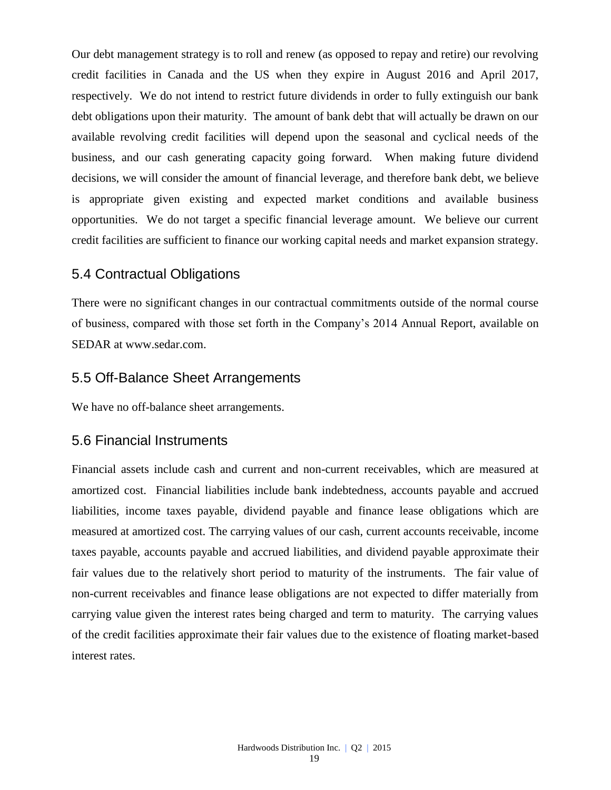Our debt management strategy is to roll and renew (as opposed to repay and retire) our revolving credit facilities in Canada and the US when they expire in August 2016 and April 2017, respectively. We do not intend to restrict future dividends in order to fully extinguish our bank debt obligations upon their maturity. The amount of bank debt that will actually be drawn on our available revolving credit facilities will depend upon the seasonal and cyclical needs of the business, and our cash generating capacity going forward. When making future dividend decisions, we will consider the amount of financial leverage, and therefore bank debt, we believe is appropriate given existing and expected market conditions and available business opportunities. We do not target a specific financial leverage amount. We believe our current credit facilities are sufficient to finance our working capital needs and market expansion strategy.

### 5.4 Contractual Obligations

There were no significant changes in our contractual commitments outside of the normal course of business, compared with those set forth in the Company's 2014 Annual Report, available on SEDAR at www.sedar.com.

### 5.5 Off-Balance Sheet Arrangements

We have no off-balance sheet arrangements.

#### 5.6 Financial Instruments

Financial assets include cash and current and non-current receivables, which are measured at amortized cost. Financial liabilities include bank indebtedness, accounts payable and accrued liabilities, income taxes payable, dividend payable and finance lease obligations which are measured at amortized cost. The carrying values of our cash, current accounts receivable, income taxes payable, accounts payable and accrued liabilities, and dividend payable approximate their fair values due to the relatively short period to maturity of the instruments. The fair value of non-current receivables and finance lease obligations are not expected to differ materially from carrying value given the interest rates being charged and term to maturity. The carrying values of the credit facilities approximate their fair values due to the existence of floating market-based interest rates.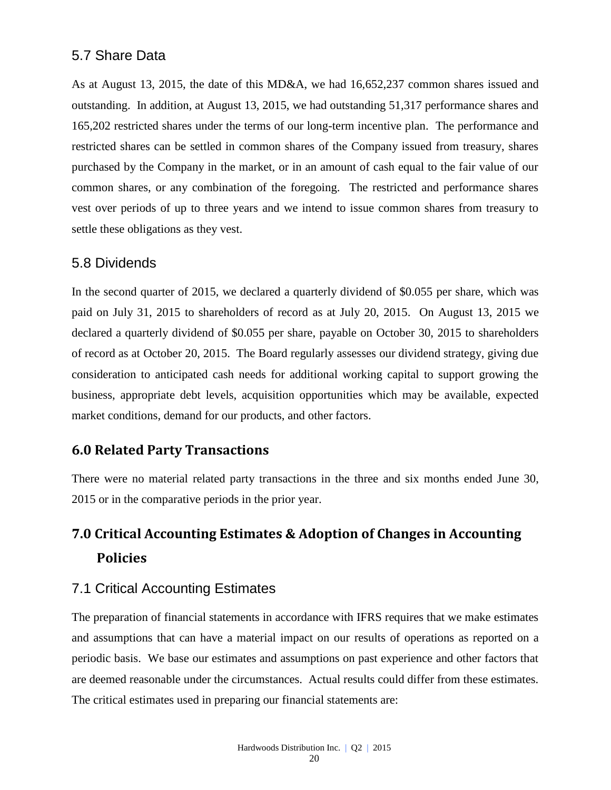## 5.7 Share Data

As at August 13, 2015, the date of this MD&A, we had 16,652,237 common shares issued and outstanding. In addition, at August 13, 2015, we had outstanding 51,317 performance shares and 165,202 restricted shares under the terms of our long-term incentive plan. The performance and restricted shares can be settled in common shares of the Company issued from treasury, shares purchased by the Company in the market, or in an amount of cash equal to the fair value of our common shares, or any combination of the foregoing. The restricted and performance shares vest over periods of up to three years and we intend to issue common shares from treasury to settle these obligations as they vest.

#### 5.8 Dividends

In the second quarter of 2015, we declared a quarterly dividend of \$0.055 per share, which was paid on July 31, 2015 to shareholders of record as at July 20, 2015. On August 13, 2015 we declared a quarterly dividend of \$0.055 per share, payable on October 30, 2015 to shareholders of record as at October 20, 2015. The Board regularly assesses our dividend strategy, giving due consideration to anticipated cash needs for additional working capital to support growing the business, appropriate debt levels, acquisition opportunities which may be available, expected market conditions, demand for our products, and other factors.

## **6.0 Related Party Transactions**

There were no material related party transactions in the three and six months ended June 30, 2015 or in the comparative periods in the prior year.

# **7.0 Critical Accounting Estimates & Adoption of Changes in Accounting Policies**

# 7.1 Critical Accounting Estimates

The preparation of financial statements in accordance with IFRS requires that we make estimates and assumptions that can have a material impact on our results of operations as reported on a periodic basis. We base our estimates and assumptions on past experience and other factors that are deemed reasonable under the circumstances. Actual results could differ from these estimates. The critical estimates used in preparing our financial statements are: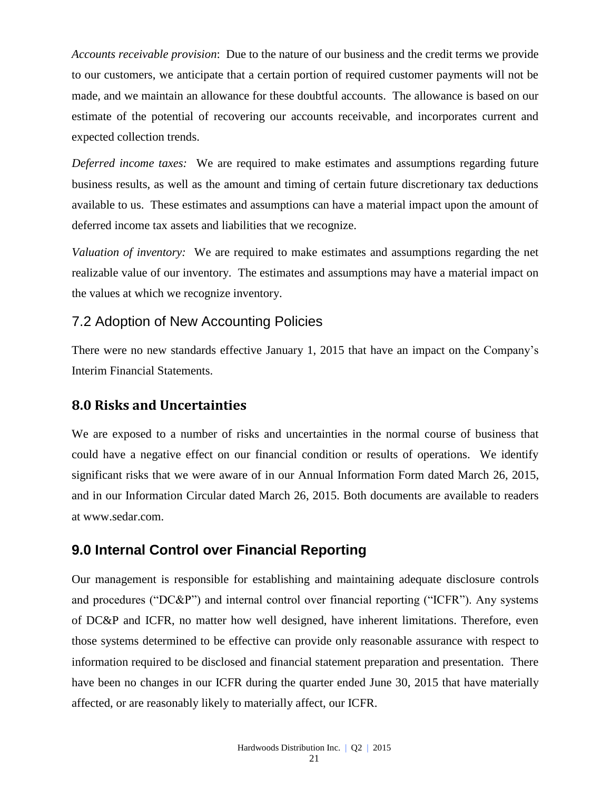*Accounts receivable provision*: Due to the nature of our business and the credit terms we provide to our customers, we anticipate that a certain portion of required customer payments will not be made, and we maintain an allowance for these doubtful accounts. The allowance is based on our estimate of the potential of recovering our accounts receivable, and incorporates current and expected collection trends.

*Deferred income taxes:* We are required to make estimates and assumptions regarding future business results, as well as the amount and timing of certain future discretionary tax deductions available to us. These estimates and assumptions can have a material impact upon the amount of deferred income tax assets and liabilities that we recognize.

*Valuation of inventory:* We are required to make estimates and assumptions regarding the net realizable value of our inventory. The estimates and assumptions may have a material impact on the values at which we recognize inventory.

## 7.2 Adoption of New Accounting Policies

There were no new standards effective January 1, 2015 that have an impact on the Company's Interim Financial Statements.

### **8.0 Risks and Uncertainties**

We are exposed to a number of risks and uncertainties in the normal course of business that could have a negative effect on our financial condition or results of operations. We identify significant risks that we were aware of in our Annual Information Form dated March 26, 2015, and in our Information Circular dated March 26, 2015. Both documents are available to readers at [www.sedar.com.](http://www.sedar.com/)

# **9.0 Internal Control over Financial Reporting**

Our management is responsible for establishing and maintaining adequate disclosure controls and procedures ("DC&P") and internal control over financial reporting ("ICFR"). Any systems of DC&P and ICFR, no matter how well designed, have inherent limitations. Therefore, even those systems determined to be effective can provide only reasonable assurance with respect to information required to be disclosed and financial statement preparation and presentation. There have been no changes in our ICFR during the quarter ended June 30, 2015 that have materially affected, or are reasonably likely to materially affect, our ICFR.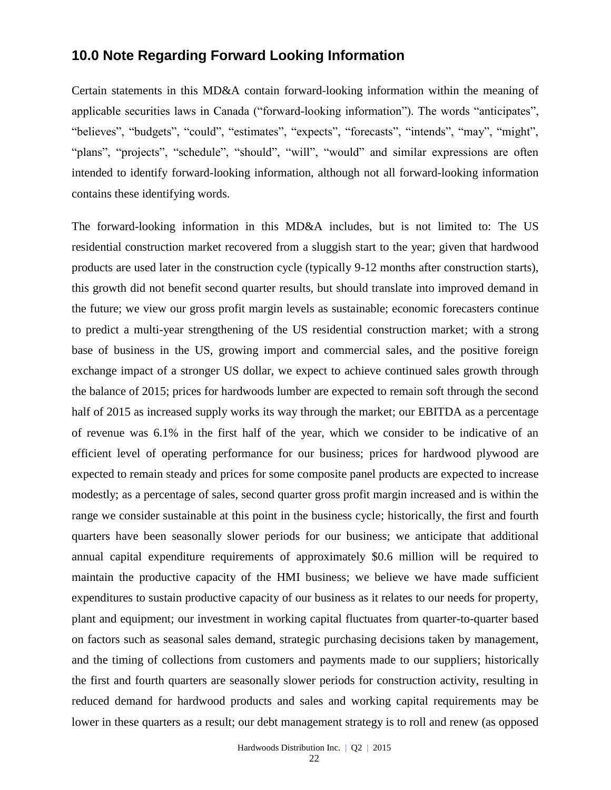## **10.0 Note Regarding Forward Looking Information**

Certain statements in this MD&A contain forward-looking information within the meaning of applicable securities laws in Canada ("forward-looking information"). The words "anticipates", "believes", "budgets", "could", "estimates", "expects", "forecasts", "intends", "may", "might", "plans", "projects", "schedule", "should", "will", "would" and similar expressions are often intended to identify forward-looking information, although not all forward-looking information contains these identifying words.

The forward-looking information in this MD&A includes, but is not limited to: The US residential construction market recovered from a sluggish start to the year; given that hardwood products are used later in the construction cycle (typically 9-12 months after construction starts), this growth did not benefit second quarter results, but should translate into improved demand in the future; we view our gross profit margin levels as sustainable; economic forecasters continue to predict a multi-year strengthening of the US residential construction market; with a strong base of business in the US, growing import and commercial sales, and the positive foreign exchange impact of a stronger US dollar, we expect to achieve continued sales growth through the balance of 2015; prices for hardwoods lumber are expected to remain soft through the second half of 2015 as increased supply works its way through the market; our EBITDA as a percentage of revenue was 6.1% in the first half of the year, which we consider to be indicative of an efficient level of operating performance for our business; prices for hardwood plywood are expected to remain steady and prices for some composite panel products are expected to increase modestly; as a percentage of sales, second quarter gross profit margin increased and is within the range we consider sustainable at this point in the business cycle; historically, the first and fourth quarters have been seasonally slower periods for our business; we anticipate that additional annual capital expenditure requirements of approximately \$0.6 million will be required to maintain the productive capacity of the HMI business; we believe we have made sufficient expenditures to sustain productive capacity of our business as it relates to our needs for property, plant and equipment; our investment in working capital fluctuates from quarter-to-quarter based on factors such as seasonal sales demand, strategic purchasing decisions taken by management, and the timing of collections from customers and payments made to our suppliers; historically the first and fourth quarters are seasonally slower periods for construction activity, resulting in reduced demand for hardwood products and sales and working capital requirements may be lower in these quarters as a result; our debt management strategy is to roll and renew (as opposed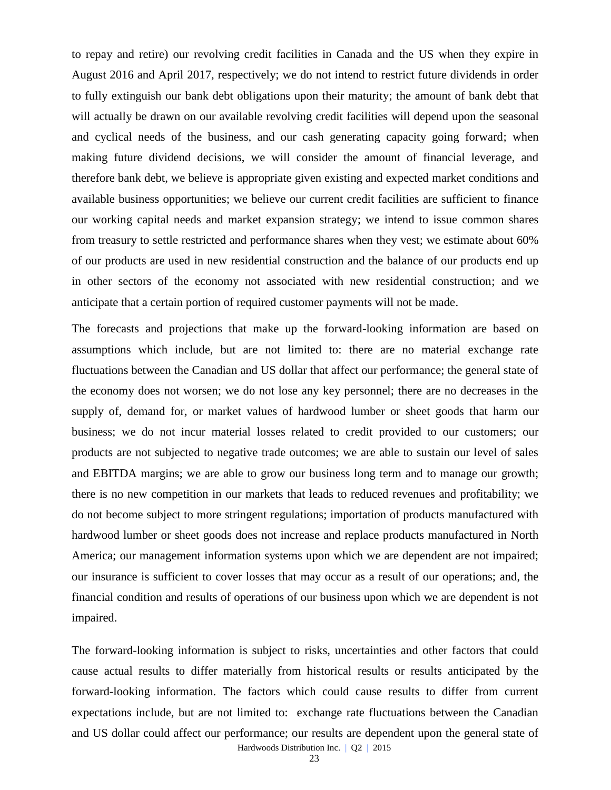to repay and retire) our revolving credit facilities in Canada and the US when they expire in August 2016 and April 2017, respectively; we do not intend to restrict future dividends in order to fully extinguish our bank debt obligations upon their maturity; the amount of bank debt that will actually be drawn on our available revolving credit facilities will depend upon the seasonal and cyclical needs of the business, and our cash generating capacity going forward; when making future dividend decisions, we will consider the amount of financial leverage, and therefore bank debt, we believe is appropriate given existing and expected market conditions and available business opportunities; we believe our current credit facilities are sufficient to finance our working capital needs and market expansion strategy; we intend to issue common shares from treasury to settle restricted and performance shares when they vest; we estimate about 60% of our products are used in new residential construction and the balance of our products end up in other sectors of the economy not associated with new residential construction; and we anticipate that a certain portion of required customer payments will not be made.

The forecasts and projections that make up the forward-looking information are based on assumptions which include, but are not limited to: there are no material exchange rate fluctuations between the Canadian and US dollar that affect our performance; the general state of the economy does not worsen; we do not lose any key personnel; there are no decreases in the supply of, demand for, or market values of hardwood lumber or sheet goods that harm our business; we do not incur material losses related to credit provided to our customers; our products are not subjected to negative trade outcomes; we are able to sustain our level of sales and EBITDA margins; we are able to grow our business long term and to manage our growth; there is no new competition in our markets that leads to reduced revenues and profitability; we do not become subject to more stringent regulations; importation of products manufactured with hardwood lumber or sheet goods does not increase and replace products manufactured in North America; our management information systems upon which we are dependent are not impaired; our insurance is sufficient to cover losses that may occur as a result of our operations; and, the financial condition and results of operations of our business upon which we are dependent is not impaired.

The forward-looking information is subject to risks, uncertainties and other factors that could cause actual results to differ materially from historical results or results anticipated by the forward-looking information. The factors which could cause results to differ from current expectations include, but are not limited to: exchange rate fluctuations between the Canadian and US dollar could affect our performance; our results are dependent upon the general state of

Hardwoods Distribution Inc. | Q2 | 2015